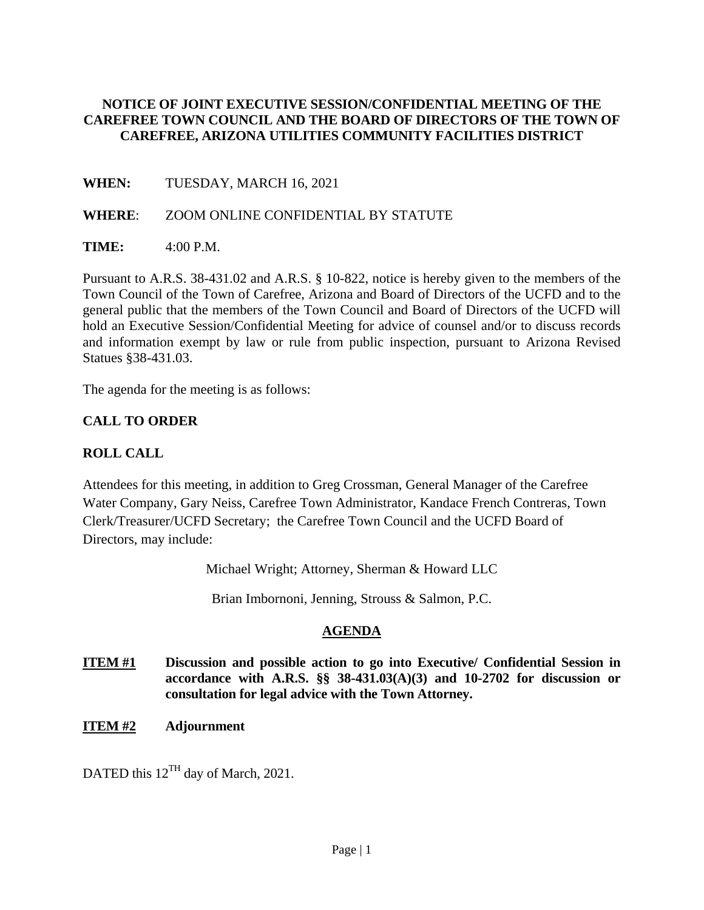#### **NOTICE OF JOINT EXECUTIVE SESSION/CONFIDENTIAL MEETING OF THE CAREFREE TOWN COUNCIL AND THE BOARD OF DIRECTORS OF THE TOWN OF CAREFREE, ARIZONA UTILITIES COMMUNITY FACILITIES DISTRICT**

**WHEN:** TUESDAY, MARCH 16, 2021

#### **WHERE**: ZOOM ONLINE CONFIDENTIAL BY STATUTE

**TIME:** 4:00 P.M.

Pursuant to A.R.S. 38-431.02 and A.R.S. § 10-822, notice is hereby given to the members of the Town Council of the Town of Carefree, Arizona and Board of Directors of the UCFD and to the general public that the members of the Town Council and Board of Directors of the UCFD will hold an Executive Session/Confidential Meeting for advice of counsel and/or to discuss records and information exempt by law or rule from public inspection, pursuant to Arizona Revised Statues §38-431.03.

The agenda for the meeting is as follows:

### **CALL TO ORDER**

## **ROLL CALL**

Attendees for this meeting, in addition to Greg Crossman, General Manager of the Carefree Water Company, Gary Neiss, Carefree Town Administrator, Kandace French Contreras, Town Clerk/Treasurer/UCFD Secretary; the Carefree Town Council and the UCFD Board of Directors, may include:

Michael Wright; Attorney, Sherman & Howard LLC

Brian Imbornoni, Jenning, Strouss & Salmon, P.C.

## **AGENDA**

- **ITEM #1** Discussion and possible action to go into Executive/ Confidential Session in **accordance with A.R.S. §§ 38-431.03(A)(3) and 10-2702 for discussion or consultation for legal advice with the Town Attorney.**
- **ITEM #2 Adjournment**

DATED this  $12^{TH}$  day of March, 2021.